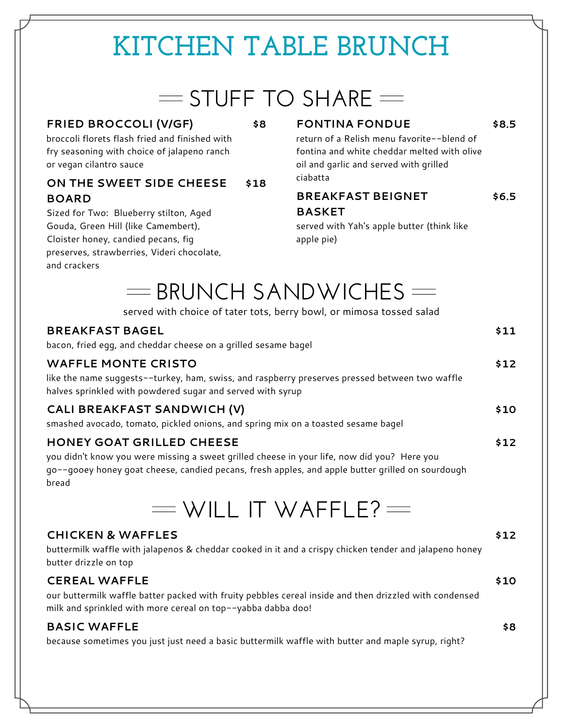# **KITCHEN TABLE BRUNCH**

# $=$  STUFF TO SHARE  $=$

#### **FRIED BROCCOLI (V/GF) \$8**

broccoli florets flash fried and finished with fry seasoning with choice of jalapeno ranch or vegan cilantro sauce

# ciabatta **ON THE SWEET SIDE CHEESE \$18 BOARD**

Sized for Two: Blueberry stilton, Aged Gouda, Green Hill (like Camembert), Cloister honey, candied pecans, fig preserves, strawberries, Videri chocolate, and crackers

### **FONTINA FONDUE \$8.5**

return of a Relish menu favorite--blend of fontina and white cheddar melted with olive oil and garlic and served with grilled

## **BREAKFAST BEIGNET \$6.5 BASKET**

served with Yah's apple butter (think like apple pie)

# $=$  BRUNCH SANDWICHES  $=$

|                                                                                                                                                                                                                                       | served with choice of tater tots, berry bowl, or mimosa tossed salad                                             |      |  |
|---------------------------------------------------------------------------------------------------------------------------------------------------------------------------------------------------------------------------------------|------------------------------------------------------------------------------------------------------------------|------|--|
| <b>BREAKFAST BAGEL</b>                                                                                                                                                                                                                | bacon, fried egg, and cheddar cheese on a grilled sesame bagel                                                   | \$11 |  |
| <b>WAFFLE MONTE CRISTO</b><br>like the name suggests--turkey, ham, swiss, and raspberry preserves pressed between two waffle<br>halves sprinkled with powdered sugar and served with syrup                                            |                                                                                                                  |      |  |
|                                                                                                                                                                                                                                       | CALI BREAKFAST SANDWICH (V)<br>smashed avocado, tomato, pickled onions, and spring mix on a toasted sesame bagel | \$10 |  |
| HONEY GOAT GRILLED CHEESE<br>you didn't know you were missing a sweet grilled cheese in your life, now did you? Here you<br>go--gooey honey goat cheese, candied pecans, fresh apples, and apple butter grilled on sourdough<br>bread |                                                                                                                  |      |  |
|                                                                                                                                                                                                                                       | $=$ WILL IT WAFFLE? $=$                                                                                          |      |  |

### **CHICKEN & WAFFLES \$12**

buttermilk waffle with jalapenos & cheddar cooked in it and a crispy chicken tender and jalapeno honey butter drizzle on top

### **CEREAL WAFFLE \$10**

our buttermilk waffle batter packed with fruity pebbles cereal inside and then drizzled with condensed milk and sprinkled with more cereal on top--yabba dabba doo!

### **BASIC WAFFLE \$8**

because sometimes you just just need a basic buttermilk waffle with butter and maple syrup, right?